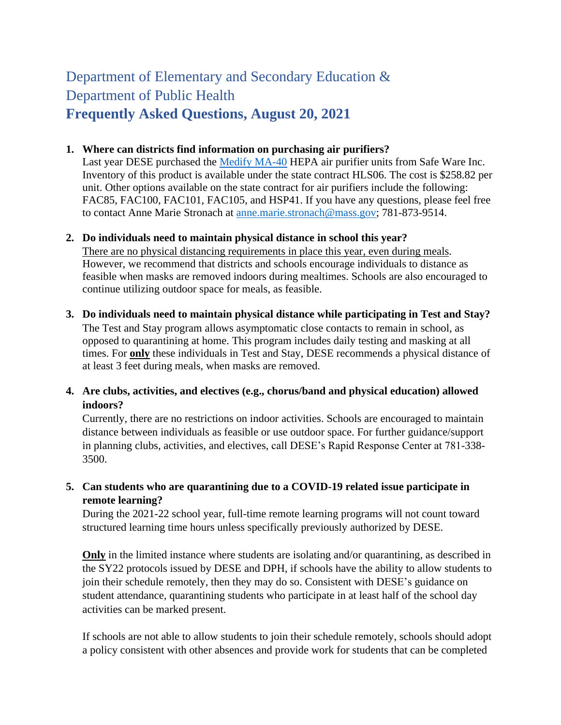# Department of Elementary and Secondary Education & Department of Public Health **Frequently Asked Questions, August 20, 2021**

#### **1. Where can districts find information on purchasing air purifiers?**

Last year DESE purchased the [Medify MA-40](https://urldefense.com/v3/__https:/medifyair.com/products/medify-ma-40__;!!CUhgQOZqV7M!21mI_UkSS8tN6ZWmysnM3Wbe5kj09iv5yhVmCFzWBnND1lS4Nn_2muAGiVs9entvKY6M0lc4gw$) HEPA air purifier units from Safe Ware Inc. Inventory of this product is available under the state contract HLS06. The cost is \$258.82 per unit. Other options available on the state contract for air purifiers include the following: FAC85, FAC100, FAC101, FAC105, and HSP41. If you have any questions, please feel free to contact Anne Marie Stronach at [anne.marie.stronach@mass.gov;](mailto:anne.marie.stronach@mass.gov) 781-873-9514.

### **2. Do individuals need to maintain physical distance in school this year?**

There are no physical distancing requirements in place this year, even during meals. However, we recommend that districts and schools encourage individuals to distance as feasible when masks are removed indoors during mealtimes. Schools are also encouraged to continue utilizing outdoor space for meals, as feasible.

- **3. Do individuals need to maintain physical distance while participating in Test and Stay?** The Test and Stay program allows asymptomatic close contacts to remain in school, as opposed to quarantining at home. This program includes daily testing and masking at all times. For **only** these individuals in Test and Stay, DESE recommends a physical distance of at least 3 feet during meals, when masks are removed.
- **4. Are clubs, activities, and electives (e.g., chorus/band and physical education) allowed indoors?**

Currently, there are no restrictions on indoor activities. Schools are encouraged to maintain distance between individuals as feasible or use outdoor space. For further guidance/support in planning clubs, activities, and electives, call DESE's Rapid Response Center at 781-338- 3500.

# **5. Can students who are quarantining due to a COVID-19 related issue participate in remote learning?**

During the 2021-22 school year, full-time remote learning programs will not count toward structured learning time hours unless specifically previously authorized by DESE.

**Only** in the limited instance where students are isolating and/or quarantining, as described in the SY22 protocols issued by DESE and DPH, if schools have the ability to allow students to join their schedule remotely, then they may do so. Consistent with DESE's guidance on student attendance, quarantining students who participate in at least half of the school day activities can be marked present.

If schools are not able to allow students to join their schedule remotely, schools should adopt a policy consistent with other absences and provide work for students that can be completed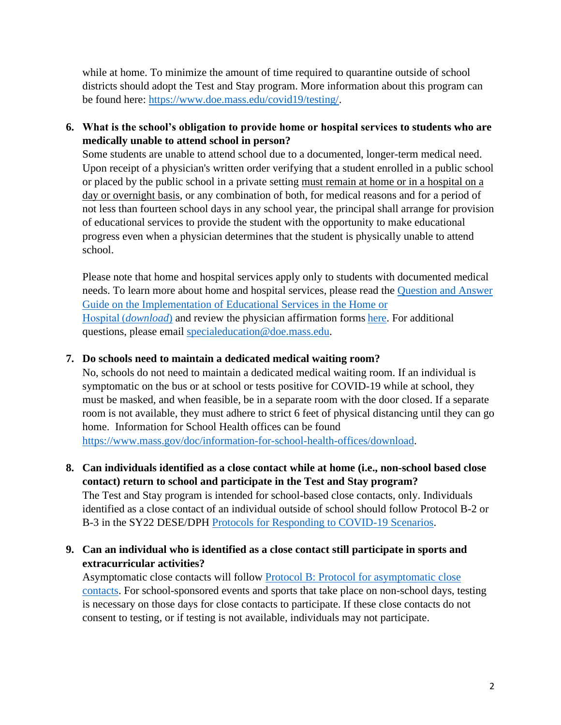while at home. To minimize the amount of time required to quarantine outside of school districts should adopt the Test and Stay program. More information about this program can be found here: [https://www.doe.mass.edu/covid19/testing/.](https://www.doe.mass.edu/covid19/testing/)

**6. What is the school's obligation to provide home or hospital services to students who are medically unable to attend school in person?**

Some students are unable to attend school due to a documented, longer-term medical need. Upon receipt of a physician's written order verifying that a student enrolled in a public school or placed by the public school in a private setting must remain at home or in a hospital on a day or overnight basis, or any combination of both, for medical reasons and for a period of not less than fourteen school days in any school year, the principal shall arrange for provision of educational services to provide the student with the opportunity to make educational progress even when a physician determines that the student is physically unable to attend school.

Please note that home and hospital services apply only to students with documented medical needs. To learn more about home and hospital services, please read the [Question and Answer](https://www.doe.mass.edu/prs/ta/hhep-qa.html)  [Guide on the Implementation of Educational Services in the Home or](https://www.doe.mass.edu/prs/ta/hhep-qa.html) Hospital (*[download](https://www.doe.mass.edu/prs/ta/hhep-qa.html)*) and review the physician affirmation forms [here.](https://www.doe.mass.edu/news/news.aspx?id=26474) For additional questions, please email [specialeducation@doe.mass.edu.](mailto:specialeducation@doe.mass.edu)

#### **7. Do schools need to maintain a dedicated medical waiting room?**

No, schools do not need to maintain a dedicated medical waiting room. If an individual is symptomatic on the bus or at school or tests positive for COVID-19 while at school, they must be masked, and when feasible, be in a separate room with the door closed. If a separate room is not available, they must adhere to strict 6 feet of physical distancing until they can go home. Information for School Health offices can be found [https://www.mass.gov/doc/information-for-school-health-offices/download.](https://www.mass.gov/doc/information-for-school-health-offices/download)

**8. Can individuals identified as a close contact while at home (i.e., non-school based close contact) return to school and participate in the Test and Stay program?**  The Test and Stay program is intended for school-based close contacts, only. Individuals identified as a close contact of an individual outside of school should follow Protocol B-2 or B-3 in the SY22 DESE/DPH [Protocols for Responding to COVID-19 Scenarios.](https://www.doe.mass.edu/covid19/on-desktop/protocols/protocols.pdf)

# **9. Can an individual who is identified as a close contact still participate in sports and extracurricular activities?**

Asymptomatic close contacts will follow [Protocol B: Protocol for asymptomatic close](https://www.doe.mass.edu/covid19/on-desktop/protocols/protocols.pdf)  [contacts.](https://www.doe.mass.edu/covid19/on-desktop/protocols/protocols.pdf) For school-sponsored events and sports that take place on non-school days, testing is necessary on those days for close contacts to participate. If these close contacts do not consent to testing, or if testing is not available, individuals may not participate.